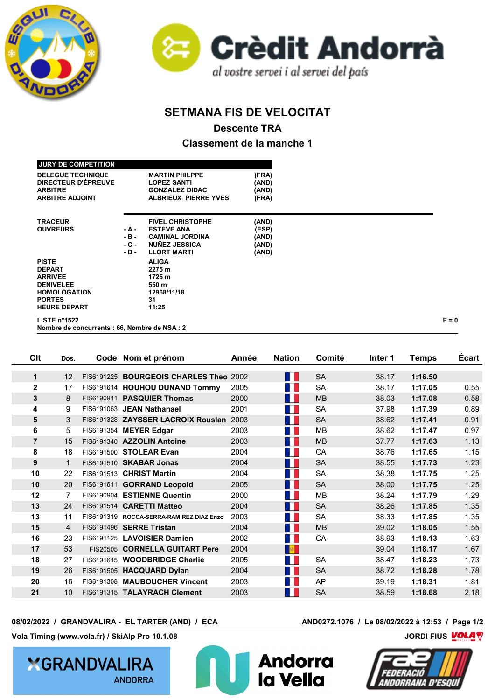



## **SETMANA FIS DE VELOCITAT**

**Descente TRA**

**Classement de la manche 1**

| LISTE $n^{\circ}1522$      |       |                             |       | $F = 0$ |
|----------------------------|-------|-----------------------------|-------|---------|
| <b>HEURE DEPART</b>        |       | 11:25                       |       |         |
| <b>PORTES</b>              |       | 31                          |       |         |
| <b>HOMOLOGATION</b>        |       | 12968/11/18                 |       |         |
| <b>DENIVELEE</b>           |       | 550 m                       |       |         |
| <b>ARRIVEE</b>             |       | 1725 m                      |       |         |
| <b>DEPART</b>              |       | 2275 m                      |       |         |
| <b>PISTE</b>               |       | <b>ALIGA</b>                |       |         |
|                            | - D - | <b>LLORT MARTI</b>          | (AND) |         |
|                            | - C - | <b>NUÑEZ JESSICA</b>        | (AND) |         |
|                            | - B - | <b>CAMINAL JORDINA</b>      | (AND) |         |
| <b>OUVREURS</b>            | - A - | <b>ESTEVE ANA</b>           | (ESP) |         |
| <b>TRACEUR</b>             |       | <b>FIVEL CHRISTOPHE</b>     | (AND) |         |
| <b>ARBITRE ADJOINT</b>     |       | <b>ALBRIEUX PIERRE YVES</b> | (FRA) |         |
| <b>ARBITRE</b>             |       | <b>GONZALEZ DIDAC</b>       | (AND) |         |
| DIRECTEUR D'ÉPREUVE        |       | <b>LOPEZ SANTI</b>          | (AND) |         |
| <b>DELEGUE TECHNIQUE</b>   |       | <b>MARTIN PHILPPE</b>       | (FRA) |         |
|                            |       |                             |       |         |
| <b>JURY DE COMPETITION</b> |       |                             |       |         |

**Nombre de concurrents : 66, Nombre de NSA : 2**

**Clt Dos. Code Nom et prénom Année Nation Comité Inter 1 Temps Écart 12 FIS6191225 BOURGEOIS CHARLES Theo** 2002 **FRA SA 38.17 <b>1:16.50**  17 FIS6191614 **HOUHOU DUNAND Tommy** 2005 FRA SA 38.17 **1:17.05** 0.55 8 FIS6190911 **PASQUIER Thomas** 2000 **FRA MB** 38.03 **1:17.08** 0.58 9 FIS6191063 **JEAN Nathanael** 2001 FRA SA 37.98 **1:17.39** 0.89 3 FIS6191328 ZAYSSER LACROIX Rouslan 2003 FRA SA 38.62 1:17.41 0.91 5 FIS6191354 **MEYER Edgar** 2003 **FRA MB** 38.62 **1:17.47** 0.97 15 FIS6191340 AZZOLIN Antoine 2003 **FRA MB** 37.77 1:17.63 1.13 18 FIS6191500 **STOLEAR Evan** 2004 **FRA CA** 38.76 **1:17.65** 1.15 1 FIS6191510 SKABAR Jonas 2004 **FRA SA 38.55 1:17.73** 1.23 22 FIS6191513 **CHRIST Martin** 2004 FRA SA 38.38 **1:17.75** 1.25 20 FIS6191611 **GORRAND Leopold** 2005 **FRA SA 38.00 1:17.75** 1.25 7 FIS6190904 **ESTIENNE Quentin** 2000 FRA MB 38.24 **1:17.79** 1.29 24 FIS6191514 **CARETTI Matteo** 2004 **FRA** SA 38.26 **1:17.85** 1.35 11 FIS6191319 **ROCCA-SERRA-RAMIREZ DIAZ Enzo** 2003 FRA SA 38.33 **1:17.85** 1.35 4 FIS6191496 **SERRE Tristan** 2004 **FRA MB** 39.02 **1:18.05** 1.55 23 FIS6191125 LAVOISIER Damien 2002 **FRA CA 38.93 1:18.13** 1.63 53 FIS20505 **CORNELLA GUITART Pere** 2004 **AND 39.04 1:18.17** 1.67 27 FIS6191615 **WOODBRIDGE Charlie** 2005 **FRA SA 38.47 1:18.23** 1.73 26 FIS6191505 **HACQUARD Dylan** 2004 **FRA SA 38.72 1:18.28** 1.78 16 FIS6191308 **MAUBOUCHER Vincent** 2003 FRA AP 39.19 **1:18.31** 1.81 10 FIS6191315 **TALAYRACH Clement** 2003 **FRA** SA 38.59 **1:18.68** 2.18

la Vella

**08/02/2022 / GRANDVALIRA - EL TARTER (AND) / ECA AND0272.1076 / Le 08/02/2022 à 12:53 / Page 1/2**

**Vola Timing (www.vola.fr) / SkiAlp Pro 10.1.08 CONDITY And All and All and All and All and All and All and All and All and All and All and All and All and All and All and All and All and All and All and All and All and** 



**YGRANDVALIRA** 

## **ANDORRA**